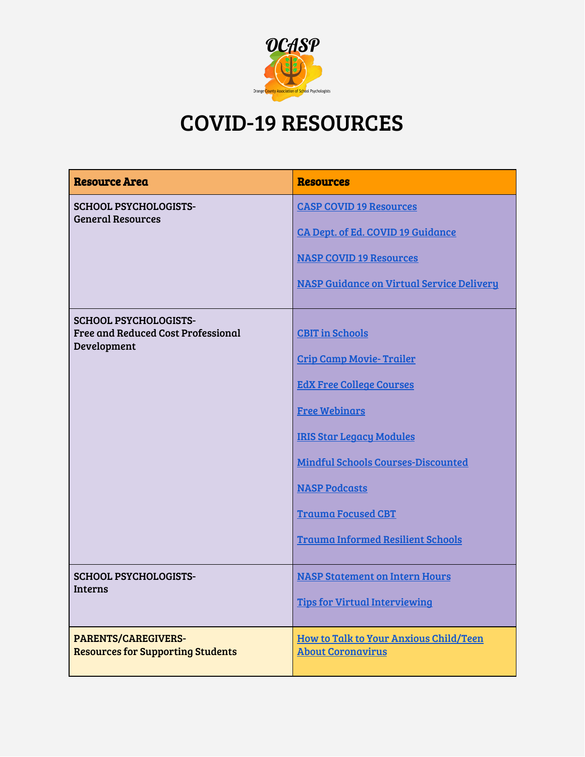

## COVID-19 RESOURCES

| <b>Resource Area</b>                                                              | <b>Resources</b>                                                                                                                                                                                                                                                                                      |
|-----------------------------------------------------------------------------------|-------------------------------------------------------------------------------------------------------------------------------------------------------------------------------------------------------------------------------------------------------------------------------------------------------|
| <b>SCHOOL PSYCHOLOGISTS-</b><br><b>General Resources</b>                          | <b>CASP COVID 19 Resources</b><br><b>CA Dept. of Ed. COVID 19 Guidance</b><br><b>NASP COVID 19 Resources</b><br><b>NASP Guidance on Virtual Service Delivery</b>                                                                                                                                      |
| <b>SCHOOL PSYCHOLOGISTS-</b><br>Free and Reduced Cost Professional<br>Development | <b>CBIT</b> in Schools<br><b>Crip Camp Movie- Trailer</b><br><b>EdX Free College Courses</b><br><b>Free Webinars</b><br><b>IRIS Star Legacy Modules</b><br><b>Mindful Schools Courses-Discounted</b><br><b>NASP Podcasts</b><br><b>Trauma Focused CBT</b><br><b>Trauma Informed Resilient Schools</b> |
| <b>SCHOOL PSYCHOLOGISTS-</b><br><b>Interns</b>                                    | <b>NASP Statement on Intern Hours</b><br><b>Tips for Virtual Interviewing</b>                                                                                                                                                                                                                         |
| <b>PARENTS/CAREGIVERS-</b><br><b>Resources for Supporting Students</b>            | How to Talk to Your Anxious Child/Teen<br><b>About Coronavirus</b>                                                                                                                                                                                                                                    |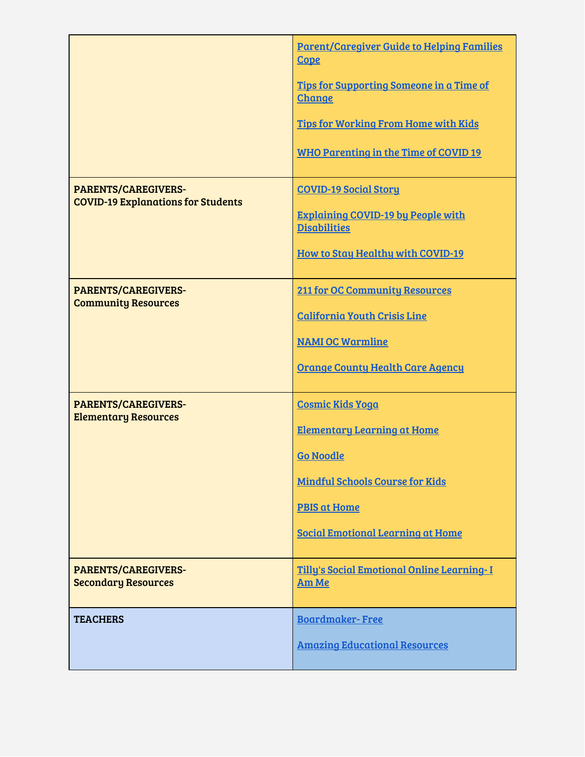|                                                                         | <b>Parent/Caregiver Guide to Helping Families</b><br><b>Cope</b> |
|-------------------------------------------------------------------------|------------------------------------------------------------------|
|                                                                         | Tips for Supporting Someone in a Time of<br><b>Change</b>        |
|                                                                         | <b>Tips for Working From Home with Kids</b>                      |
|                                                                         | <b>WHO Parenting in the Time of COVID 19</b>                     |
| <b>PARENTS/CAREGIVERS-</b><br><b>COVID-19 Explanations for Students</b> | <b>COVID-19 Social Story</b>                                     |
|                                                                         | <b>Explaining COVID-19 by People with</b><br><b>Disabilities</b> |
|                                                                         | <b>How to Stay Healthy with COVID-19</b>                         |
| <b>PARENTS/CAREGIVERS-</b>                                              | <b>211 for OC Community Resources</b>                            |
| <b>Community Resources</b>                                              | <b>California Youth Crisis Line</b>                              |
|                                                                         | <b>NAMI OC Warmline</b>                                          |
|                                                                         | <b>Orange County Health Care Agency</b>                          |
| <b>PARENTS/CAREGIVERS-</b>                                              | <b>Cosmic Kids Yoga</b>                                          |
| <b>Elementary Resources</b>                                             | <b>Elementary Learning at Home</b>                               |
|                                                                         | <b>Go Noodle</b>                                                 |
|                                                                         | <b>Mindful Schools Course for Kids</b>                           |
|                                                                         | <b>PBIS at Home</b>                                              |
|                                                                         | <b>Social Emotional Learning at Home</b>                         |
| <b>PARENTS/CAREGIVERS-</b><br><b>Secondary Resources</b>                | Tilly's Social Emotional Online Learning-I<br>Am Me              |
| <b>TEACHERS</b>                                                         | <b>Boardmaker-Free</b>                                           |
|                                                                         | <b>Amazing Educational Resources</b>                             |